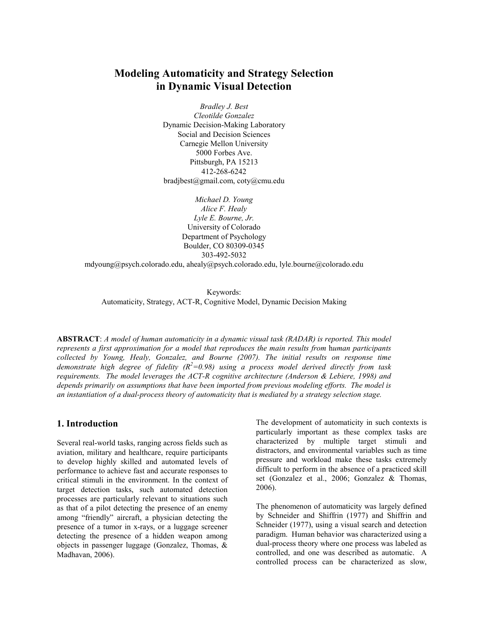# Modeling Automaticity and Strategy Selection in Dynamic Visual Detection

Bradley J. Best Cleotilde Gonzalez Dynamic Decision-Making Laboratory Social and Decision Sciences Carnegie Mellon University 5000 Forbes Ave. Pittsburgh, PA 15213 412-268-6242 bradjbest@gmail.com, coty@cmu.edu

> Michael D. Young Alice F. Healy Lyle E. Bourne, Jr. University of Colorado Department of Psychology Boulder, CO 80309-0345 303-492-5032

mdyoung@psych.colorado.edu, ahealy@psych.colorado.edu, lyle.bourne@colorado.edu

Keywords: Automaticity, Strategy, ACT-R, Cognitive Model, Dynamic Decision Making

ABSTRACT: A model of human automaticity in a dynamic visual task (RADAR) is reported. This model represents a first approximation for a model that reproduces the main results from human participants collected by Young, Healy, Gonzalez, and Bourne (2007). The initial results on response time demonstrate high degree of fidelity  $(R^2=0.98)$  using a process model derived directly from task requirements. The model leverages the ACT-R cognitive architecture (Anderson & Lebiere, 1998) and depends primarily on assumptions that have been imported from previous modeling efforts. The model is an instantiation of a dual-process theory of automaticity that is mediated by a strategy selection stage.

### 1. Introduction

Several real-world tasks, ranging across fields such as aviation, military and healthcare, require participants to develop highly skilled and automated levels of performance to achieve fast and accurate responses to critical stimuli in the environment. In the context of target detection tasks, such automated detection processes are particularly relevant to situations such as that of a pilot detecting the presence of an enemy among "friendly" aircraft, a physician detecting the presence of a tumor in x-rays, or a luggage screener detecting the presence of a hidden weapon among objects in passenger luggage (Gonzalez, Thomas, & Madhavan, 2006).

The development of automaticity in such contexts is particularly important as these complex tasks are characterized by multiple target stimuli and distractors, and environmental variables such as time pressure and workload make these tasks extremely difficult to perform in the absence of a practiced skill set (Gonzalez et al., 2006; Gonzalez & Thomas, 2006).

The phenomenon of automaticity was largely defined by Schneider and Shiffrin (1977) and Shiffrin and Schneider (1977), using a visual search and detection paradigm. Human behavior was characterized using a dual-process theory where one process was labeled as controlled, and one was described as automatic. A controlled process can be characterized as slow,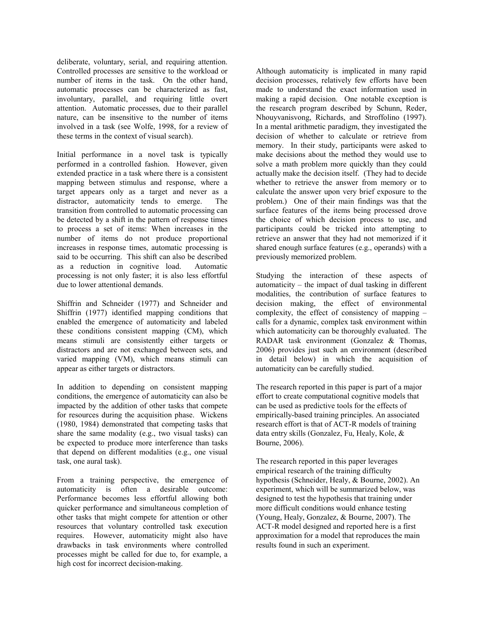deliberate, voluntary, serial, and requiring attention. Controlled processes are sensitive to the workload or number of items in the task. On the other hand, automatic processes can be characterized as fast, involuntary, parallel, and requiring little overt attention. Automatic processes, due to their parallel nature, can be insensitive to the number of items involved in a task (see Wolfe, 1998, for a review of these terms in the context of visual search).

Initial performance in a novel task is typically performed in a controlled fashion. However, given extended practice in a task where there is a consistent mapping between stimulus and response, where a target appears only as a target and never as a distractor, automaticity tends to emerge. The transition from controlled to automatic processing can be detected by a shift in the pattern of response times to process a set of items: When increases in the number of items do not produce proportional increases in response times, automatic processing is said to be occurring. This shift can also be described as a reduction in cognitive load. Automatic processing is not only faster; it is also less effortful due to lower attentional demands.

Shiffrin and Schneider (1977) and Schneider and Shiffrin (1977) identified mapping conditions that enabled the emergence of automaticity and labeled these conditions consistent mapping (CM), which means stimuli are consistently either targets or distractors and are not exchanged between sets, and varied mapping (VM), which means stimuli can appear as either targets or distractors.

In addition to depending on consistent mapping conditions, the emergence of automaticity can also be impacted by the addition of other tasks that compete for resources during the acquisition phase. Wickens (1980, 1984) demonstrated that competing tasks that share the same modality (e.g., two visual tasks) can be expected to produce more interference than tasks that depend on different modalities (e.g., one visual task, one aural task).

From a training perspective, the emergence of automaticity is often a desirable outcome: Performance becomes less effortful allowing both quicker performance and simultaneous completion of other tasks that might compete for attention or other resources that voluntary controlled task execution requires. However, automaticity might also have drawbacks in task environments where controlled processes might be called for due to, for example, a high cost for incorrect decision-making.

Although automaticity is implicated in many rapid decision processes, relatively few efforts have been made to understand the exact information used in making a rapid decision. One notable exception is the research program described by Schunn, Reder, Nhouyvanisvong, Richards, and Stroffolino (1997). In a mental arithmetic paradigm, they investigated the decision of whether to calculate or retrieve from memory. In their study, participants were asked to make decisions about the method they would use to solve a math problem more quickly than they could actually make the decision itself. (They had to decide whether to retrieve the answer from memory or to calculate the answer upon very brief exposure to the problem.) One of their main findings was that the surface features of the items being processed drove the choice of which decision process to use, and participants could be tricked into attempting to retrieve an answer that they had not memorized if it shared enough surface features (e.g., operands) with a previously memorized problem.

Studying the interaction of these aspects of automaticity – the impact of dual tasking in different modalities, the contribution of surface features to decision making, the effect of environmental complexity, the effect of consistency of mapping – calls for a dynamic, complex task environment within which automaticity can be thoroughly evaluated. The RADAR task environment (Gonzalez & Thomas, 2006) provides just such an environment (described in detail below) in which the acquisition of automaticity can be carefully studied.

The research reported in this paper is part of a major effort to create computational cognitive models that can be used as predictive tools for the effects of empirically-based training principles. An associated research effort is that of ACT-R models of training data entry skills (Gonzalez, Fu, Healy, Kole, & Bourne, 2006).

The research reported in this paper leverages empirical research of the training difficulty hypothesis (Schneider, Healy, & Bourne, 2002). An experiment, which will be summarized below, was designed to test the hypothesis that training under more difficult conditions would enhance testing (Young, Healy, Gonzalez, & Bourne, 2007). The ACT-R model designed and reported here is a first approximation for a model that reproduces the main results found in such an experiment.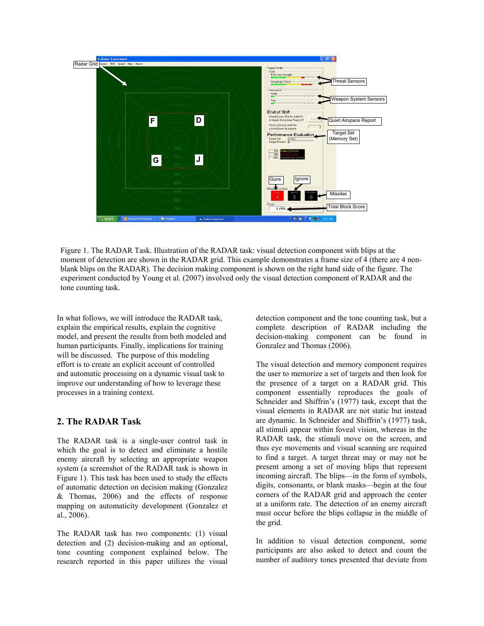

Figure 1. The RADAR Task. Illustration of the RADAR task: visual detection component with blips at the moment of detection are shown in the RADAR grid. This example demonstrates a frame size of 4 (there are 4 nonblank blips on the RADAR). The decision making component is shown on the right hand side of the figure. The experiment conducted by Young et al. (2007) involved only the visual detection component of RADAR and the tone counting task.

In what follows, we will introduce the RADAR task, explain the empirical results, explain the cognitive model, and present the results from both modeled and human participants. Finally, implications for training will be discussed. The purpose of this modeling effort is to create an explicit account of controlled and automatic processing on a dynamic visual task to improve our understanding of how to leverage these processes in a training context.

## 2. The RADAR Task

The RADAR task is a single-user control task in which the goal is to detect and eliminate a hostile enemy aircraft by selecting an appropriate weapon system (a screenshot of the RADAR task is shown in Figure 1). This task has been used to study the effects of automatic detection on decision making (Gonzalez & Thomas, 2006) and the effects of response mapping on automaticity development (Gonzalez et al., 2006).

The RADAR task has two components: (1) visual detection and (2) decision-making and an optional, tone counting component explained below. The research reported in this paper utilizes the visual detection component and the tone counting task, but a complete description of RADAR including the decision-making component can be found in Gonzalez and Thomas (2006).

The visual detection and memory component requires the user to memorize a set of targets and then look for the presence of a target on a RADAR grid. This component essentially reproduces the goals of Schneider and Shiffrin's (1977) task, except that the visual elements in RADAR are not static but instead are dynamic. In Schneider and Shiffrin's (1977) task, all stimuli appear within foveal vision, whereas in the RADAR task, the stimuli move on the screen, and thus eye movements and visual scanning are required to find a target. A target threat may or may not be present among a set of moving blips that represent incoming aircraft. The blips—in the form of symbols, digits, consonants, or blank masks—begin at the four corners of the RADAR grid and approach the center at a uniform rate. The detection of an enemy aircraft must occur before the blips collapse in the middle of the grid.

In addition to visual detection component, some participants are also asked to detect and count the number of auditory tones presented that deviate from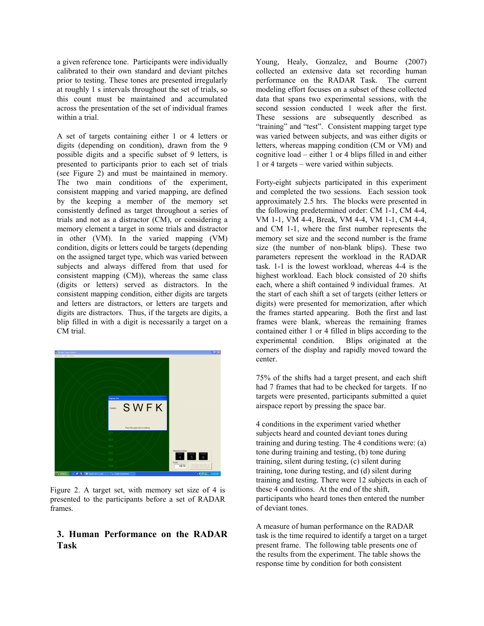a given reference tone. Participants were individually calibrated to their own standard and deviant pitches prior to testing. These tones are presented irregularly at roughly 1 s intervals throughout the set of trials, so this count must be maintained and accumulated across the presentation of the set of individual frames within a trial.

A set of targets containing either 1 or 4 letters or digits (depending on condition), drawn from the 9 possible digits and a specific subset of 9 letters, is presented to participants prior to each set of trials (see Figure 2) and must be maintained in memory. The two main conditions of the experiment, consistent mapping and varied mapping, are defined by the keeping a member of the memory set consistently defined as target throughout a series of trials and not as a distractor (CM), or considering a memory element a target in some trials and distractor in other (VM). In the varied mapping (VM) condition, digits or letters could be targets (depending on the assigned target type, which was varied between subjects and always differed from that used for consistent mapping (CM)), whereas the same class (digits or letters) served as distractors. In the consistent mapping condition, either digits are targets and letters are distractors, or letters are targets and digits are distractors. Thus, if the targets are digits, a blip filled in with a digit is necessarily a target on a CM trial.



Figure 2. A target set, with memory set size of 4 is presented to the participants before a set of RADAR frames.

## 3. Human Performance on the RADAR Task

Young, Healy, Gonzalez, and Bourne (2007) collected an extensive data set recording human performance on the RADAR Task. The current modeling effort focuses on a subset of these collected data that spans two experimental sessions, with the second session conducted 1 week after the first. These sessions are subsequently described as "training" and "test". Consistent mapping target type was varied between subjects, and was either digits or letters, whereas mapping condition (CM or VM) and cognitive load – either 1 or 4 blips filled in and either 1 or 4 targets – were varied within subjects.

Forty-eight subjects participated in this experiment and completed the two sessions. Each session took approximately 2.5 hrs. The blocks were presented in the following predetermined order: CM 1-1, CM 4-4, VM 1-1, VM 4-4, Break, VM 4-4, VM 1-1, CM 4-4, and CM 1-1, where the first number represents the memory set size and the second number is the frame size (the number of non-blank blips). These two parameters represent the workload in the RADAR task. 1-1 is the lowest workload, whereas 4-4 is the highest workload. Each block consisted of 20 shifts each, where a shift contained 9 individual frames. At the start of each shift a set of targets (either letters or digits) were presented for memorization, after which the frames started appearing. Both the first and last frames were blank, whereas the remaining frames contained either 1 or 4 filled in blips according to the experimental condition. Blips originated at the corners of the display and rapidly moved toward the center.

75% of the shifts had a target present, and each shift had 7 frames that had to be checked for targets. If no targets were presented, participants submitted a quiet airspace report by pressing the space bar.

4 conditions in the experiment varied whether subjects heard and counted deviant tones during training and during testing. The 4 conditions were: (a) tone during training and testing, (b) tone during training, silent during testing, (c) silent during training, tone during testing, and (d) silent during training and testing. There were 12 subjects in each of these 4 conditions. At the end of the shift, participants who heard tones then entered the number of deviant tones.

A measure of human performance on the RADAR task is the time required to identify a target on a target present frame. The following table presents one of the results from the experiment. The table shows the response time by condition for both consistent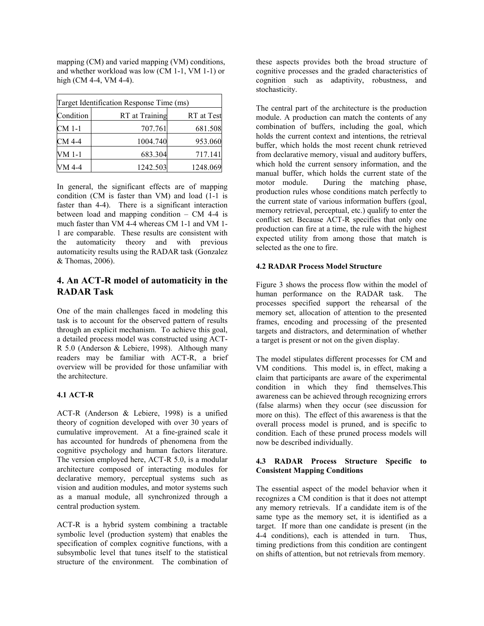mapping (CM) and varied mapping (VM) conditions, and whether workload was low (CM 1-1, VM 1-1) or high (CM 4-4, VM 4-4).

| Target Identification Response Time (ms) |                |            |
|------------------------------------------|----------------|------------|
| Condition                                | RT at Training | RT at Test |
| CM 1-1                                   | 707.761        | 681.508    |
| CM 4-4                                   | 1004.740       | 953.060    |
| VM 1-1                                   | 683.304        | 717.141    |
| VM 4-4                                   | 1242.503       | 1248.069   |

In general, the significant effects are of mapping condition (CM is faster than VM) and load (1-1 is faster than 4-4). There is a significant interaction between load and mapping condition – CM 4-4 is much faster than VM 4-4 whereas CM 1-1 and VM 1- 1 are comparable. These results are consistent with the automaticity theory and with previous automaticity results using the RADAR task (Gonzalez & Thomas, 2006).

## 4. An ACT-R model of automaticity in the RADAR Task

One of the main challenges faced in modeling this task is to account for the observed pattern of results through an explicit mechanism. To achieve this goal, a detailed process model was constructed using ACT-R 5.0 (Anderson & Lebiere, 1998). Although many readers may be familiar with ACT-R, a brief overview will be provided for those unfamiliar with the architecture.

### 4.1 ACT-R

ACT-R (Anderson & Lebiere, 1998) is a unified theory of cognition developed with over 30 years of cumulative improvement. At a fine-grained scale it has accounted for hundreds of phenomena from the cognitive psychology and human factors literature. The version employed here, ACT-R 5.0, is a modular architecture composed of interacting modules for declarative memory, perceptual systems such as vision and audition modules, and motor systems such as a manual module, all synchronized through a central production system.

ACT-R is a hybrid system combining a tractable symbolic level (production system) that enables the specification of complex cognitive functions, with a subsymbolic level that tunes itself to the statistical structure of the environment. The combination of these aspects provides both the broad structure of cognitive processes and the graded characteristics of cognition such as adaptivity, robustness, and stochasticity.

The central part of the architecture is the production module. A production can match the contents of any combination of buffers, including the goal, which holds the current context and intentions, the retrieval buffer, which holds the most recent chunk retrieved from declarative memory, visual and auditory buffers, which hold the current sensory information, and the manual buffer, which holds the current state of the motor module. During the matching phase, production rules whose conditions match perfectly to the current state of various information buffers (goal, memory retrieval, perceptual, etc.) qualify to enter the conflict set. Because ACT-R specifies that only one production can fire at a time, the rule with the highest expected utility from among those that match is selected as the one to fire.

## 4.2 RADAR Process Model Structure

Figure 3 shows the process flow within the model of human performance on the RADAR task. The processes specified support the rehearsal of the memory set, allocation of attention to the presented frames, encoding and processing of the presented targets and distractors, and determination of whether a target is present or not on the given display.

The model stipulates different processes for CM and VM conditions. This model is, in effect, making a claim that participants are aware of the experimental condition in which they find themselves.This awareness can be achieved through recognizing errors (false alarms) when they occur (see discussion for more on this). The effect of this awareness is that the overall process model is pruned, and is specific to condition. Each of these pruned process models will now be described individually.

### 4.3 RADAR Process Structure Specific to Consistent Mapping Conditions

The essential aspect of the model behavior when it recognizes a CM condition is that it does not attempt any memory retrievals. If a candidate item is of the same type as the memory set, it is identified as a target. If more than one candidate is present (in the 4-4 conditions), each is attended in turn. Thus, timing predictions from this condition are contingent on shifts of attention, but not retrievals from memory.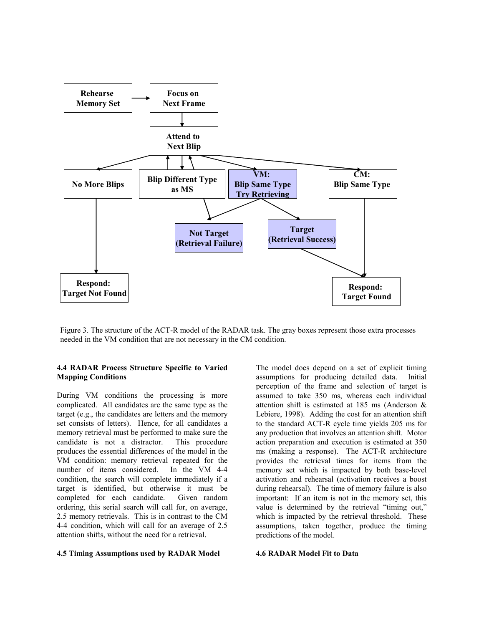

Figure 3. The structure of the ACT-R model of the RADAR task. The gray boxes represent those extra processes needed in the VM condition that are not necessary in the CM condition.

#### 4.4 RADAR Process Structure Specific to Varied Mapping Conditions

During VM conditions the processing is more complicated. All candidates are the same type as the target (e.g., the candidates are letters and the memory set consists of letters). Hence, for all candidates a memory retrieval must be performed to make sure the candidate is not a distractor. This procedure produces the essential differences of the model in the VM condition: memory retrieval repeated for the number of items considered. In the VM 4-4 condition, the search will complete immediately if a target is identified, but otherwise it must be completed for each candidate. Given random ordering, this serial search will call for, on average, 2.5 memory retrievals. This is in contrast to the CM 4-4 condition, which will call for an average of 2.5 attention shifts, without the need for a retrieval.

#### 4.5 Timing Assumptions used by RADAR Model

The model does depend on a set of explicit timing assumptions for producing detailed data. Initial perception of the frame and selection of target is assumed to take 350 ms, whereas each individual attention shift is estimated at 185 ms (Anderson & Lebiere, 1998). Adding the cost for an attention shift to the standard ACT-R cycle time yields 205 ms for any production that involves an attention shift. Motor action preparation and execution is estimated at 350 ms (making a response). The ACT-R architecture provides the retrieval times for items from the memory set which is impacted by both base-level activation and rehearsal (activation receives a boost during rehearsal). The time of memory failure is also important: If an item is not in the memory set, this value is determined by the retrieval "timing out," which is impacted by the retrieval threshold. These assumptions, taken together, produce the timing predictions of the model.

#### 4.6 RADAR Model Fit to Data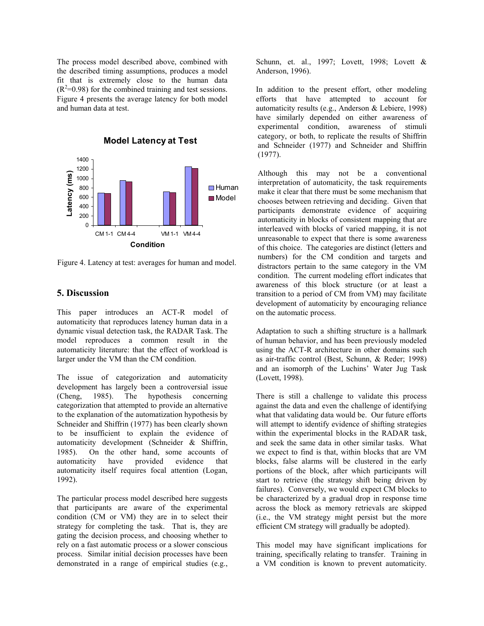The process model described above, combined with the described timing assumptions, produces a model fit that is extremely close to the human data  $(R<sup>2</sup>=0.98)$  for the combined training and test sessions. Figure 4 presents the average latency for both model and human data at test.



Figure 4. Latency at test: averages for human and model.

## 5. Discussion

This paper introduces an ACT-R model of automaticity that reproduces latency human data in a dynamic visual detection task, the RADAR Task. The model reproduces a common result in the automaticity literature: that the effect of workload is larger under the VM than the CM condition.

The issue of categorization and automaticity development has largely been a controversial issue (Cheng, 1985). The hypothesis concerning categorization that attempted to provide an alternative to the explanation of the automatization hypothesis by Schneider and Shiffrin (1977) has been clearly shown to be insufficient to explain the evidence of automaticity development (Schneider & Shiffrin, 1985). On the other hand, some accounts of automaticity have provided evidence that automaticity itself requires focal attention (Logan, 1992).

The particular process model described here suggests that participants are aware of the experimental condition (CM or VM) they are in to select their strategy for completing the task. That is, they are gating the decision process, and choosing whether to rely on a fast automatic process or a slower conscious process. Similar initial decision processes have been demonstrated in a range of empirical studies (e.g., Schunn, et. al., 1997; Lovett, 1998; Lovett & Anderson, 1996).

In addition to the present effort, other modeling efforts that have attempted to account for automaticity results (e.g., Anderson & Lebiere, 1998) have similarly depended on either awareness of experimental condition, awareness of stimuli category, or both, to replicate the results of Shiffrin and Schneider (1977) and Schneider and Shiffrin (1977).

Although this may not be a conventional interpretation of automaticity, the task requirements make it clear that there must be some mechanism that chooses between retrieving and deciding. Given that participants demonstrate evidence of acquiring automaticity in blocks of consistent mapping that are interleaved with blocks of varied mapping, it is not unreasonable to expect that there is some awareness of this choice. The categories are distinct (letters and numbers) for the CM condition and targets and distractors pertain to the same category in the VM condition. The current modeling effort indicates that awareness of this block structure (or at least a transition to a period of CM from VM) may facilitate development of automaticity by encouraging reliance on the automatic process.

Adaptation to such a shifting structure is a hallmark of human behavior, and has been previously modeled using the ACT-R architecture in other domains such as air-traffic control (Best, Schunn, & Reder; 1998) and an isomorph of the Luchins' Water Jug Task (Lovett, 1998).

There is still a challenge to validate this process against the data and even the challenge of identifying what that validating data would be. Our future efforts will attempt to identify evidence of shifting strategies within the experimental blocks in the RADAR task, and seek the same data in other similar tasks. What we expect to find is that, within blocks that are VM blocks, false alarms will be clustered in the early portions of the block, after which participants will start to retrieve (the strategy shift being driven by failures). Conversely, we would expect CM blocks to be characterized by a gradual drop in response time across the block as memory retrievals are skipped (i.e., the VM strategy might persist but the more efficient CM strategy will gradually be adopted).

This model may have significant implications for training, specifically relating to transfer. Training in a VM condition is known to prevent automaticity.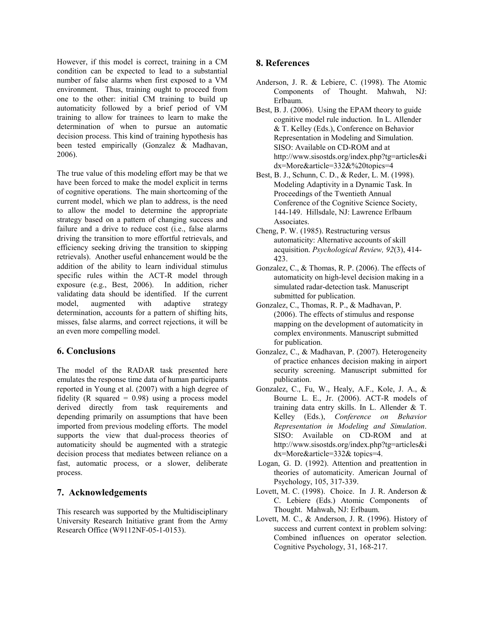However, if this model is correct, training in a CM condition can be expected to lead to a substantial number of false alarms when first exposed to a VM environment. Thus, training ought to proceed from one to the other: initial CM training to build up automaticity followed by a brief period of VM training to allow for trainees to learn to make the determination of when to pursue an automatic decision process. This kind of training hypothesis has been tested empirically (Gonzalez & Madhavan, 2006).

The true value of this modeling effort may be that we have been forced to make the model explicit in terms of cognitive operations. The main shortcoming of the current model, which we plan to address, is the need to allow the model to determine the appropriate strategy based on a pattern of changing success and failure and a drive to reduce cost (i.e., false alarms driving the transition to more effortful retrievals, and efficiency seeking driving the transition to skipping retrievals). Another useful enhancement would be the addition of the ability to learn individual stimulus specific rules within the ACT-R model through exposure (e.g., Best, 2006). In addition, richer validating data should be identified. If the current model, augmented with adaptive strategy determination, accounts for a pattern of shifting hits, misses, false alarms, and correct rejections, it will be an even more compelling model.

## 6. Conclusions

The model of the RADAR task presented here emulates the response time data of human participants reported in Young et al. (2007) with a high degree of fidelity (R squared  $= 0.98$ ) using a process model derived directly from task requirements and depending primarily on assumptions that have been imported from previous modeling efforts. The model supports the view that dual-process theories of automaticity should be augmented with a strategic decision process that mediates between reliance on a fast, automatic process, or a slower, deliberate process.

## 7. Acknowledgements

This research was supported by the Multidisciplinary University Research Initiative grant from the Army Research Office (W9112NF-05-1-0153).

## 8. References

- Anderson, J. R. & Lebiere, C. (1998). The Atomic Components of Thought. Mahwah, NJ: Erlbaum.
- Best, B. J. (2006). Using the EPAM theory to guide cognitive model rule induction. In L. Allender & T. Kelley (Eds.), Conference on Behavior Representation in Modeling and Simulation. SISO: Available on CD-ROM and at http://www.sisostds.org/index.php?tg=articles&i dx=More&article=332&%20topics=4
- Best, B. J., Schunn, C. D., & Reder, L. M. (1998). Modeling Adaptivity in a Dynamic Task. In Proceedings of the Twentieth Annual Conference of the Cognitive Science Society, 144-149. Hillsdale, NJ: Lawrence Erlbaum Associates.
- Cheng, P. W. (1985). Restructuring versus automaticity: Alternative accounts of skill acquisition. Psychological Review, 92(3), 414- 423.
- Gonzalez, C., & Thomas, R. P. (2006). The effects of automaticity on high-level decision making in a simulated radar-detection task. Manuscript submitted for publication.
- Gonzalez, C., Thomas, R. P., & Madhavan, P. (2006). The effects of stimulus and response mapping on the development of automaticity in complex environments. Manuscript submitted for publication.
- Gonzalez, C., & Madhavan, P. (2007). Heterogeneity of practice enhances decision making in airport security screening. Manuscript submitted for publication.
- Gonzalez, C., Fu, W., Healy, A.F., Kole, J. A., & Bourne L. E., Jr. (2006). ACT-R models of training data entry skills. In L. Allender & T. Kelley (Eds.), Conference on Behavior Representation in Modeling and Simulation. SISO: Available on CD-ROM and at http://www.sisostds.org/index.php?tg=articles&i dx=More&article=332& topics=4.
- Logan, G. D. (1992). Attention and preattention in theories of automaticity. American Journal of Psychology, 105, 317-339.
- Lovett, M. C. (1998). Choice. In J. R. Anderson & C. Lebiere (Eds.) Atomic Components of Thought. Mahwah, NJ: Erlbaum.
- Lovett, M. C., & Anderson, J. R. (1996). History of success and current context in problem solving: Combined influences on operator selection. Cognitive Psychology, 31, 168-217.